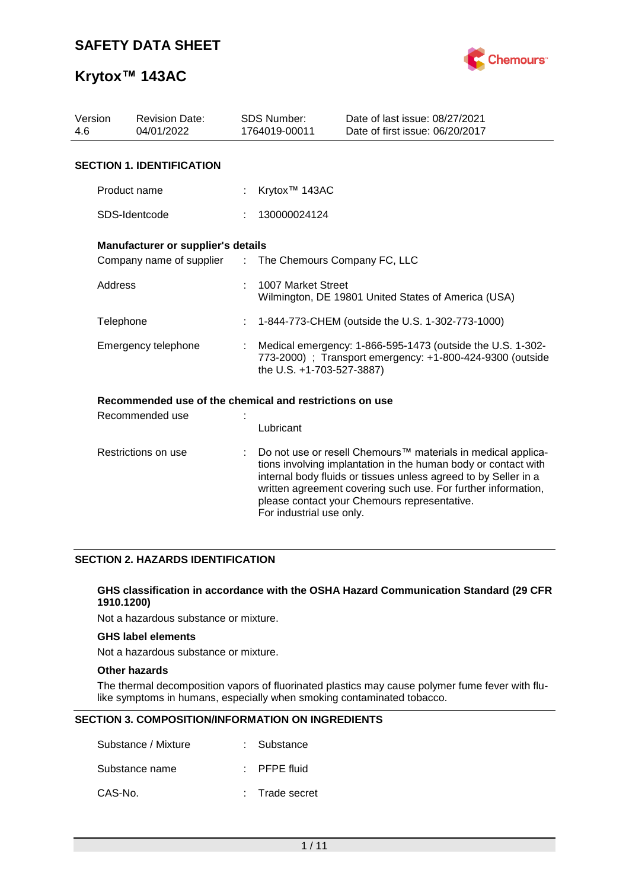

| Version<br>4.6      | <b>Revision Date:</b><br>04/01/2022                     |                | <b>SDS Number:</b><br>1764019-00011                                                                                                                                                                                                                                                                                                                        | Date of last issue: 08/27/2021<br>Date of first issue: 06/20/2017 |  |  |  |  |
|---------------------|---------------------------------------------------------|----------------|------------------------------------------------------------------------------------------------------------------------------------------------------------------------------------------------------------------------------------------------------------------------------------------------------------------------------------------------------------|-------------------------------------------------------------------|--|--|--|--|
|                     | <b>SECTION 1. IDENTIFICATION</b>                        |                |                                                                                                                                                                                                                                                                                                                                                            |                                                                   |  |  |  |  |
|                     | Product name                                            |                | Krytox <sup>™</sup> 143AC                                                                                                                                                                                                                                                                                                                                  |                                                                   |  |  |  |  |
|                     | SDS-Identcode                                           |                | 130000024124                                                                                                                                                                                                                                                                                                                                               |                                                                   |  |  |  |  |
|                     | <b>Manufacturer or supplier's details</b>               |                |                                                                                                                                                                                                                                                                                                                                                            |                                                                   |  |  |  |  |
|                     | Company name of supplier                                | $\mathbb{Z}^n$ |                                                                                                                                                                                                                                                                                                                                                            | The Chemours Company FC, LLC                                      |  |  |  |  |
| Address             |                                                         |                | 1007 Market Street<br>Wilmington, DE 19801 United States of America (USA)                                                                                                                                                                                                                                                                                  |                                                                   |  |  |  |  |
| Telephone           |                                                         | t              | 1-844-773-CHEM (outside the U.S. 1-302-773-1000)                                                                                                                                                                                                                                                                                                           |                                                                   |  |  |  |  |
| Emergency telephone |                                                         |                | Medical emergency: 1-866-595-1473 (outside the U.S. 1-302-<br>773-2000) ; Transport emergency: +1-800-424-9300 (outside<br>the U.S. +1-703-527-3887)                                                                                                                                                                                                       |                                                                   |  |  |  |  |
|                     | Recommended use of the chemical and restrictions on use |                |                                                                                                                                                                                                                                                                                                                                                            |                                                                   |  |  |  |  |
| Recommended use     |                                                         |                | Lubricant                                                                                                                                                                                                                                                                                                                                                  |                                                                   |  |  |  |  |
| Restrictions on use |                                                         |                | Do not use or resell Chemours <sup>™</sup> materials in medical applica-<br>tions involving implantation in the human body or contact with<br>internal body fluids or tissues unless agreed to by Seller in a<br>written agreement covering such use. For further information,<br>please contact your Chemours representative.<br>For industrial use only. |                                                                   |  |  |  |  |

#### **SECTION 2. HAZARDS IDENTIFICATION**

#### **GHS classification in accordance with the OSHA Hazard Communication Standard (29 CFR 1910.1200)**

Not a hazardous substance or mixture.

#### **GHS label elements**

Not a hazardous substance or mixture.

#### **Other hazards**

The thermal decomposition vapors of fluorinated plastics may cause polymer fume fever with flulike symptoms in humans, especially when smoking contaminated tobacco.

#### **SECTION 3. COMPOSITION/INFORMATION ON INGREDIENTS**

| Substance / Mixture | : Substance             |
|---------------------|-------------------------|
| Substance name      | $\therefore$ PFPE fluid |
| CAS-No.             | : Trade secret          |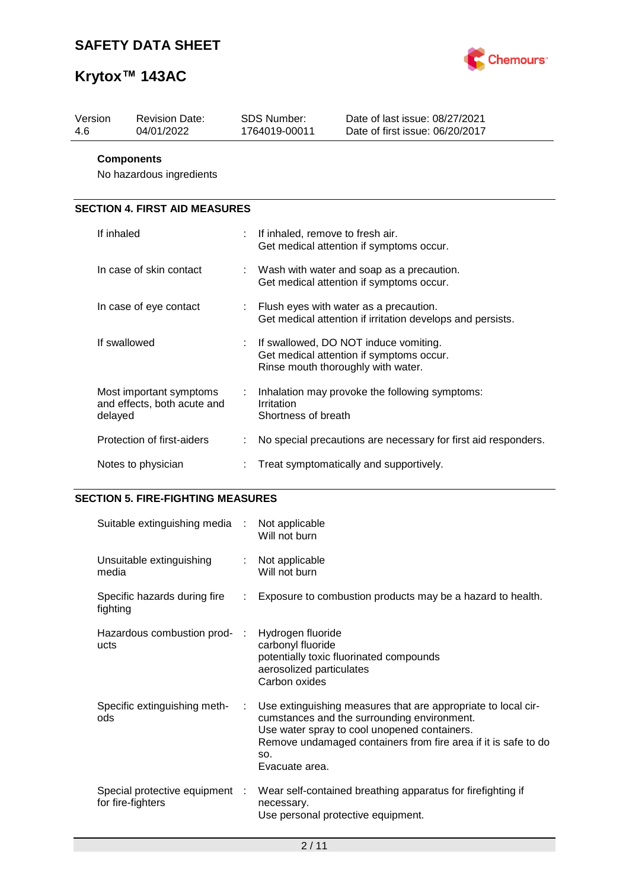

| Version<br>4.6 | <b>Revision Date:</b><br>04/01/2022                    |  | SDS Number:<br>1764019-00011                                                                                            | Date of last issue: 08/27/2021<br>Date of first issue: 06/20/2017 |  |  |
|----------------|--------------------------------------------------------|--|-------------------------------------------------------------------------------------------------------------------------|-------------------------------------------------------------------|--|--|
|                | <b>Components</b><br>No hazardous ingredients          |  |                                                                                                                         |                                                                   |  |  |
|                | <b>SECTION 4. FIRST AID MEASURES</b>                   |  |                                                                                                                         |                                                                   |  |  |
| If inhaled     |                                                        |  | If inhaled, remove to fresh air.<br>Get medical attention if symptoms occur.                                            |                                                                   |  |  |
|                | In case of skin contact                                |  | : Wash with water and soap as a precaution.<br>Get medical attention if symptoms occur.                                 |                                                                   |  |  |
|                | In case of eye contact                                 |  | Flush eyes with water as a precaution.<br>Get medical attention if irritation develops and persists.                    |                                                                   |  |  |
|                | If swallowed                                           |  | If swallowed, DO NOT induce vomiting.<br>Get medical attention if symptoms occur.<br>Rinse mouth thoroughly with water. |                                                                   |  |  |
| delayed        | Most important symptoms<br>and effects, both acute and |  | Inhalation may provoke the following symptoms:<br>Irritation<br>Shortness of breath                                     |                                                                   |  |  |
|                | Protection of first-aiders                             |  | No special precautions are necessary for first aid responders.                                                          |                                                                   |  |  |
|                | Notes to physician                                     |  | Treat symptomatically and supportively.                                                                                 |                                                                   |  |  |

## **SECTION 5. FIRE-FIGHTING MEASURES**

| Suitable extinguishing media :                      |    | Not applicable<br>Will not burn                                                                                                                                                                                                                         |
|-----------------------------------------------------|----|---------------------------------------------------------------------------------------------------------------------------------------------------------------------------------------------------------------------------------------------------------|
| Unsuitable extinguishing<br>media                   |    | : Not applicable<br>Will not burn                                                                                                                                                                                                                       |
| Specific hazards during fire<br>fighting            | ÷. | Exposure to combustion products may be a hazard to health.                                                                                                                                                                                              |
| Hazardous combustion prod- :<br>ucts                |    | Hydrogen fluoride<br>carbonyl fluoride<br>potentially toxic fluorinated compounds<br>aerosolized particulates<br>Carbon oxides                                                                                                                          |
| Specific extinguishing meth-<br>ods                 | ÷  | Use extinguishing measures that are appropriate to local cir-<br>cumstances and the surrounding environment.<br>Use water spray to cool unopened containers.<br>Remove undamaged containers from fire area if it is safe to do<br>SO.<br>Evacuate area. |
| Special protective equipment :<br>for fire-fighters |    | Wear self-contained breathing apparatus for firefighting if<br>necessary.<br>Use personal protective equipment.                                                                                                                                         |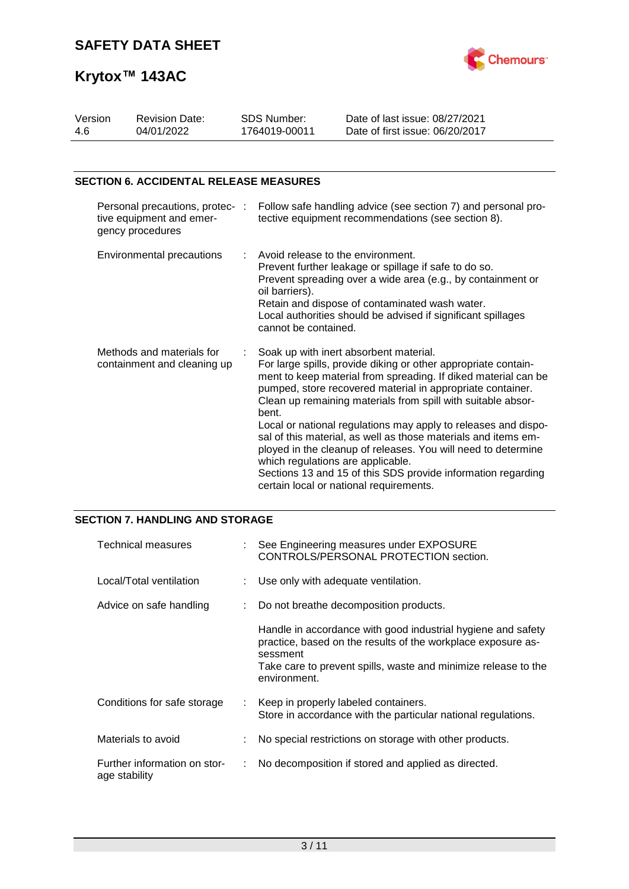

| Version | <b>Revision Date:</b> | SDS Number:   | Date of last issue: 08/27/2021  |  |
|---------|-----------------------|---------------|---------------------------------|--|
| -4.6    | 04/01/2022            | 1764019-00011 | Date of first issue: 06/20/2017 |  |
|         |                       |               |                                 |  |

### **SECTION 6. ACCIDENTAL RELEASE MEASURES**

| Personal precautions, protec- :<br>tive equipment and emer-<br>gency procedures | Follow safe handling advice (see section 7) and personal pro-<br>tective equipment recommendations (see section 8).                                                                                                                                                                                                                                                                                                                                                                                                                                                                                                                                                    |
|---------------------------------------------------------------------------------|------------------------------------------------------------------------------------------------------------------------------------------------------------------------------------------------------------------------------------------------------------------------------------------------------------------------------------------------------------------------------------------------------------------------------------------------------------------------------------------------------------------------------------------------------------------------------------------------------------------------------------------------------------------------|
| <b>Environmental precautions</b>                                                | $\therefore$ Avoid release to the environment.<br>Prevent further leakage or spillage if safe to do so.<br>Prevent spreading over a wide area (e.g., by containment or<br>oil barriers).<br>Retain and dispose of contaminated wash water.<br>Local authorities should be advised if significant spillages<br>cannot be contained.                                                                                                                                                                                                                                                                                                                                     |
| Methods and materials for<br>containment and cleaning up                        | Soak up with inert absorbent material.<br>For large spills, provide diking or other appropriate contain-<br>ment to keep material from spreading. If diked material can be<br>pumped, store recovered material in appropriate container.<br>Clean up remaining materials from spill with suitable absor-<br>bent.<br>Local or national regulations may apply to releases and dispo-<br>sal of this material, as well as those materials and items em-<br>ployed in the cleanup of releases. You will need to determine<br>which regulations are applicable.<br>Sections 13 and 15 of this SDS provide information regarding<br>certain local or national requirements. |

### **SECTION 7. HANDLING AND STORAGE**

| Technical measures                            |    | See Engineering measures under EXPOSURE<br>CONTROLS/PERSONAL PROTECTION section.                                                                                                                                           |
|-----------------------------------------------|----|----------------------------------------------------------------------------------------------------------------------------------------------------------------------------------------------------------------------------|
| Local/Total ventilation                       |    | : Use only with adequate ventilation.                                                                                                                                                                                      |
| Advice on safe handling                       |    | Do not breathe decomposition products.                                                                                                                                                                                     |
|                                               |    | Handle in accordance with good industrial hygiene and safety<br>practice, based on the results of the workplace exposure as-<br>sessment<br>Take care to prevent spills, waste and minimize release to the<br>environment. |
| Conditions for safe storage                   | t. | Keep in properly labeled containers.<br>Store in accordance with the particular national regulations.                                                                                                                      |
| Materials to avoid                            |    | No special restrictions on storage with other products.                                                                                                                                                                    |
| Further information on stor-<br>age stability |    | No decomposition if stored and applied as directed.                                                                                                                                                                        |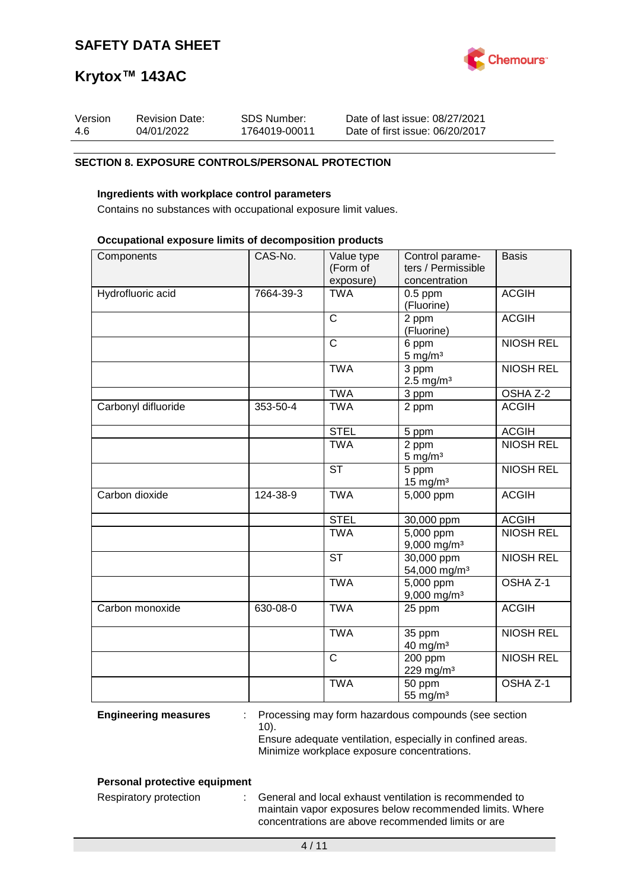

| Version | <b>Revision Date:</b> | SDS Number:   | Date of last issue: 08/27/2021  |
|---------|-----------------------|---------------|---------------------------------|
| -4.6    | 04/01/2022            | 1764019-00011 | Date of first issue: 06/20/2017 |

#### **SECTION 8. EXPOSURE CONTROLS/PERSONAL PROTECTION**

#### **Ingredients with workplace control parameters**

Contains no substances with occupational exposure limit values.

#### **Occupational exposure limits of decomposition products**

| Components          | CAS-No.   | Value type<br>(Form of<br>exposure) | Control parame-<br>ters / Permissible<br>concentration | <b>Basis</b>        |
|---------------------|-----------|-------------------------------------|--------------------------------------------------------|---------------------|
| Hydrofluoric acid   | 7664-39-3 | <b>TWA</b>                          | $0.5$ ppm<br>(Fluorine)                                | <b>ACGIH</b>        |
|                     |           | $\mathsf{C}$                        | 2 ppm<br>(Fluorine)                                    | <b>ACGIH</b>        |
|                     |           | $\overline{C}$                      | 6 ppm<br>$5 \text{ mg/m}^3$                            | <b>NIOSH REL</b>    |
|                     |           | <b>TWA</b>                          | 3 ppm<br>$2.5 \text{ mg/m}^3$                          | <b>NIOSH REL</b>    |
|                     |           | <b>TWA</b>                          | 3 ppm                                                  | OSHA Z-2            |
| Carbonyl difluoride | 353-50-4  | <b>TWA</b>                          | 2 ppm                                                  | <b>ACGIH</b>        |
|                     |           | <b>STEL</b>                         | 5 ppm                                                  | <b>ACGIH</b>        |
|                     |           | <b>TWA</b>                          | 2 ppm<br>$5 \text{ mg/m}^3$                            | <b>NIOSH REL</b>    |
|                     |           | <b>ST</b>                           | 5 ppm<br>$15$ mg/m <sup>3</sup>                        | <b>NIOSH REL</b>    |
| Carbon dioxide      | 124-38-9  | <b>TWA</b>                          | 5,000 ppm                                              | <b>ACGIH</b>        |
|                     |           | <b>STEL</b>                         | 30,000 ppm                                             | <b>ACGIH</b>        |
|                     |           | <b>TWA</b>                          | $\overline{5,000}$ ppm<br>$9,000$ mg/m <sup>3</sup>    | <b>NIOSH REL</b>    |
|                     |           | <b>ST</b>                           | $30,000$ ppm<br>54,000 mg/m <sup>3</sup>               | <b>NIOSH REL</b>    |
|                     |           | <b>TWA</b>                          | 5,000 ppm<br>$9,000$ mg/m <sup>3</sup>                 | OSHA <sub>Z-1</sub> |
| Carbon monoxide     | 630-08-0  | <b>TWA</b>                          | 25 ppm                                                 | <b>ACGIH</b>        |
|                     |           | <b>TWA</b>                          | 35 ppm<br>$40$ mg/m <sup>3</sup>                       | <b>NIOSH REL</b>    |
|                     |           | $\mathsf{C}$                        | 200 ppm<br>229 mg/m <sup>3</sup>                       | <b>NIOSH REL</b>    |
|                     |           | <b>TWA</b>                          | 50 ppm<br>55 mg/m <sup>3</sup>                         | OSHA Z-1            |

**Engineering measures** : Processing may form hazardous compounds (see section 10).

Ensure adequate ventilation, especially in confined areas. Minimize workplace exposure concentrations.

#### **Personal protective equipment**

Respiratory protection : General and local exhaust ventilation is recommended to maintain vapor exposures below recommended limits. Where concentrations are above recommended limits or are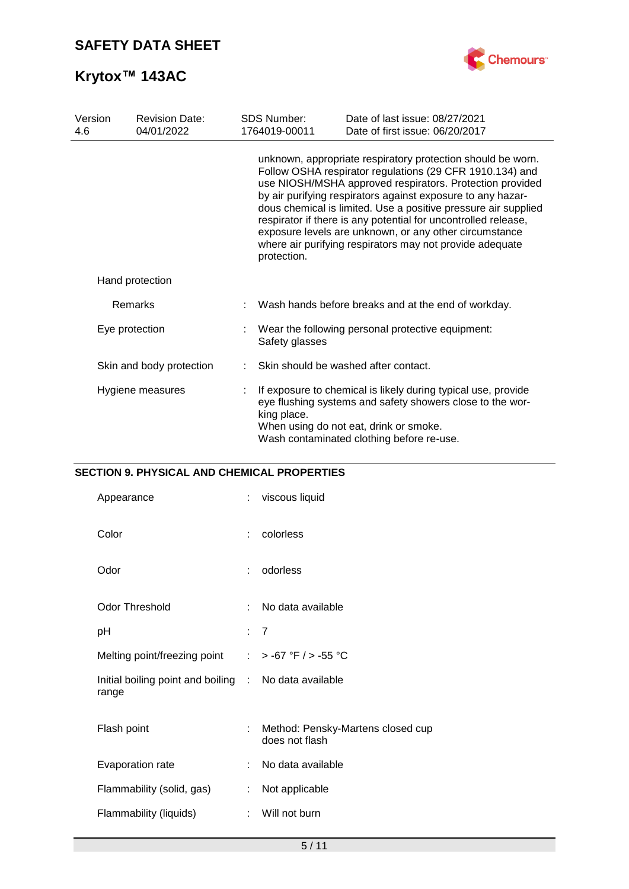

| Version<br>4.6   | <b>Revision Date:</b><br>04/01/2022 | <b>SDS Number:</b><br>1764019-00011                                 | Date of last issue: 08/27/2021<br>Date of first issue: 06/20/2017                                                                                                                                                                                                                                                                                                                                                                                                                                            |
|------------------|-------------------------------------|---------------------------------------------------------------------|--------------------------------------------------------------------------------------------------------------------------------------------------------------------------------------------------------------------------------------------------------------------------------------------------------------------------------------------------------------------------------------------------------------------------------------------------------------------------------------------------------------|
|                  |                                     | protection.                                                         | unknown, appropriate respiratory protection should be worn.<br>Follow OSHA respirator regulations (29 CFR 1910.134) and<br>use NIOSH/MSHA approved respirators. Protection provided<br>by air purifying respirators against exposure to any hazar-<br>dous chemical is limited. Use a positive pressure air supplied<br>respirator if there is any potential for uncontrolled release,<br>exposure levels are unknown, or any other circumstance<br>where air purifying respirators may not provide adequate |
|                  | Hand protection                     |                                                                     |                                                                                                                                                                                                                                                                                                                                                                                                                                                                                                              |
|                  | Remarks                             |                                                                     | Wash hands before breaks and at the end of workday.                                                                                                                                                                                                                                                                                                                                                                                                                                                          |
| Eye protection   |                                     | Wear the following personal protective equipment:<br>Safety glasses |                                                                                                                                                                                                                                                                                                                                                                                                                                                                                                              |
|                  | Skin and body protection            |                                                                     | Skin should be washed after contact.                                                                                                                                                                                                                                                                                                                                                                                                                                                                         |
| Hygiene measures |                                     | king place.                                                         | If exposure to chemical is likely during typical use, provide<br>eye flushing systems and safety showers close to the wor-<br>When using do not eat, drink or smoke.<br>Wash contaminated clothing before re-use.                                                                                                                                                                                                                                                                                            |

### **SECTION 9. PHYSICAL AND CHEMICAL PROPERTIES**

| Appearance                                                     | ÷ | viscous liquid                                      |
|----------------------------------------------------------------|---|-----------------------------------------------------|
| Color                                                          | ÷ | colorless                                           |
| Odor                                                           | ÷ | odorless                                            |
| <b>Odor Threshold</b>                                          |   | No data available                                   |
| рH                                                             |   | : 7                                                 |
| Melting point/freezing point                                   |   | : > -67 °F / > -55 °C                               |
| Initial boiling point and boiling : No data available<br>range |   |                                                     |
| Flash point                                                    | ÷ | Method: Pensky-Martens closed cup<br>does not flash |
| Evaporation rate                                               | ÷ | No data available                                   |
| Flammability (solid, gas)                                      | ÷ | Not applicable                                      |
| Flammability (liquids)                                         | ÷ | Will not burn                                       |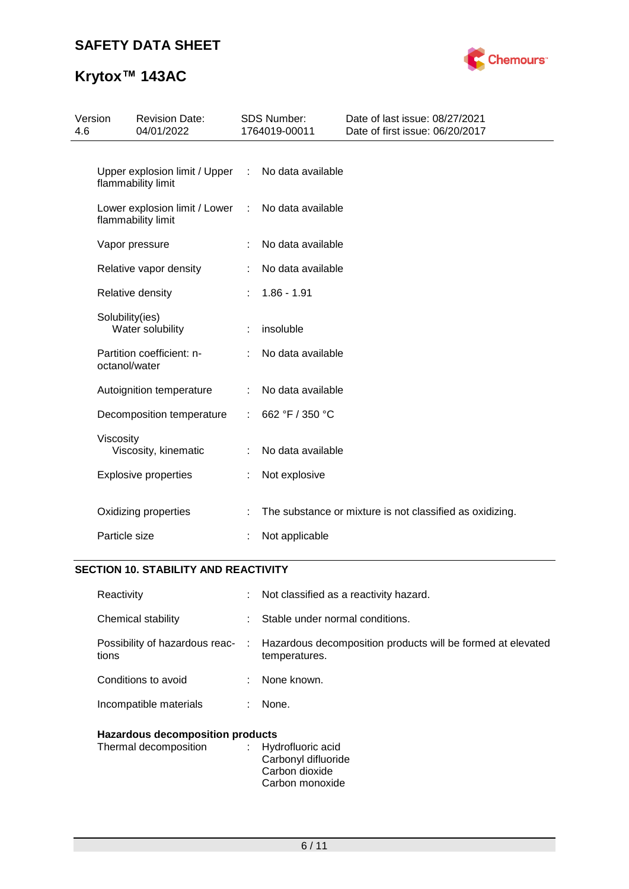## **SAFETY DATA SHEET**



# **Krytox™ 143AC**

| 4.6 | Version         | <b>Revision Date:</b><br>04/01/2022                 |   | <b>SDS Number:</b><br>1764019-00011 | Date of last issue: 08/27/2021<br>Date of first issue: 06/20/2017 |
|-----|-----------------|-----------------------------------------------------|---|-------------------------------------|-------------------------------------------------------------------|
|     |                 | Upper explosion limit / Upper<br>flammability limit | ÷ | No data available                   |                                                                   |
|     |                 | Lower explosion limit / Lower<br>flammability limit | ÷ | No data available                   |                                                                   |
|     |                 | Vapor pressure                                      | ÷ | No data available                   |                                                                   |
|     |                 | Relative vapor density                              |   | No data available                   |                                                                   |
|     |                 | Relative density                                    | ÷ | $1.86 - 1.91$                       |                                                                   |
|     | Solubility(ies) | Water solubility                                    |   | insoluble                           |                                                                   |
|     | octanol/water   | Partition coefficient: n-                           |   | No data available                   |                                                                   |
|     |                 | Autoignition temperature                            |   | No data available                   |                                                                   |
|     |                 | Decomposition temperature                           | ÷ | 662 °F / 350 °C                     |                                                                   |
|     | Viscosity       | Viscosity, kinematic                                |   | No data available                   |                                                                   |
|     |                 | <b>Explosive properties</b>                         | t | Not explosive                       |                                                                   |
|     | Particle size   | Oxidizing properties                                |   | Not applicable                      | The substance or mixture is not classified as oxidizing.          |
|     |                 |                                                     |   |                                     |                                                                   |

#### **SECTION 10. STABILITY AND REACTIVITY**

| Reactivity                              |   | : Not classified as a reactivity hazard.                                                                      |  |
|-----------------------------------------|---|---------------------------------------------------------------------------------------------------------------|--|
| Chemical stability                      |   | Stable under normal conditions.                                                                               |  |
| tions                                   |   | Possibility of hazardous reac- : Hazardous decomposition products will be formed at elevated<br>temperatures. |  |
| Conditions to avoid                     |   | : None known.                                                                                                 |  |
| Incompatible materials                  | ÷ | None.                                                                                                         |  |
| <b>Hazardous decomposition products</b> |   |                                                                                                               |  |

| Thermal decomposition | : Hydrofluoric acid |
|-----------------------|---------------------|
|                       | Carbonyl difluoride |
|                       | Carbon dioxide      |
|                       | Carbon monoxide     |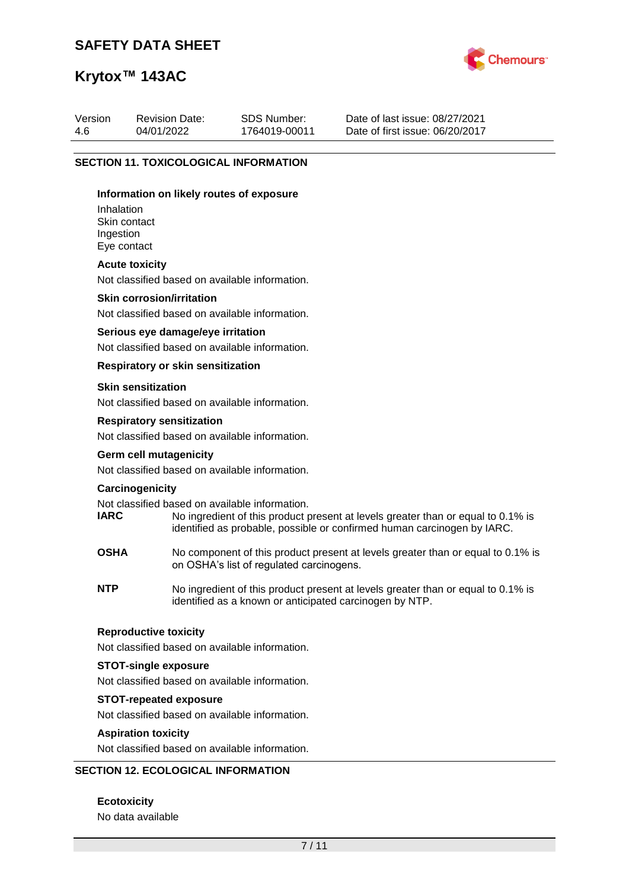## **SAFETY DATA SHEET**



## **Krytox™ 143AC**

| Version | <b>Revision Date:</b>                        | SDS Number:   | Date of last issue: 08/27/2021  |
|---------|----------------------------------------------|---------------|---------------------------------|
| -4.6    | 04/01/2022                                   | 1764019-00011 | Date of first issue: 06/20/2017 |
|         | <b>SECTION 11. TOXICOLOGICAL INFORMATION</b> |               |                                 |

#### **Information on likely routes of exposure**

Inhalation Skin contact Ingestion Eye contact

#### **Acute toxicity**

Not classified based on available information.

#### **Skin corrosion/irritation**

Not classified based on available information.

#### **Serious eye damage/eye irritation**

Not classified based on available information.

#### **Respiratory or skin sensitization**

#### **Skin sensitization**

Not classified based on available information.

#### **Respiratory sensitization**

Not classified based on available information.

#### **Germ cell mutagenicity**

Not classified based on available information.

#### **Carcinogenicity**

Not classified based on available information.<br> **IARC** No ingredient of this product to

- No ingredient of this product present at levels greater than or equal to 0.1% is identified as probable, possible or confirmed human carcinogen by IARC.
- **OSHA** No component of this product present at levels greater than or equal to 0.1% is on OSHA's list of regulated carcinogens.
- **NTP** No ingredient of this product present at levels greater than or equal to 0.1% is identified as a known or anticipated carcinogen by NTP.

#### **Reproductive toxicity**

Not classified based on available information.

#### **STOT-single exposure**

Not classified based on available information.

#### **STOT-repeated exposure**

Not classified based on available information.

#### **Aspiration toxicity**

Not classified based on available information.

#### **SECTION 12. ECOLOGICAL INFORMATION**

#### **Ecotoxicity**

No data available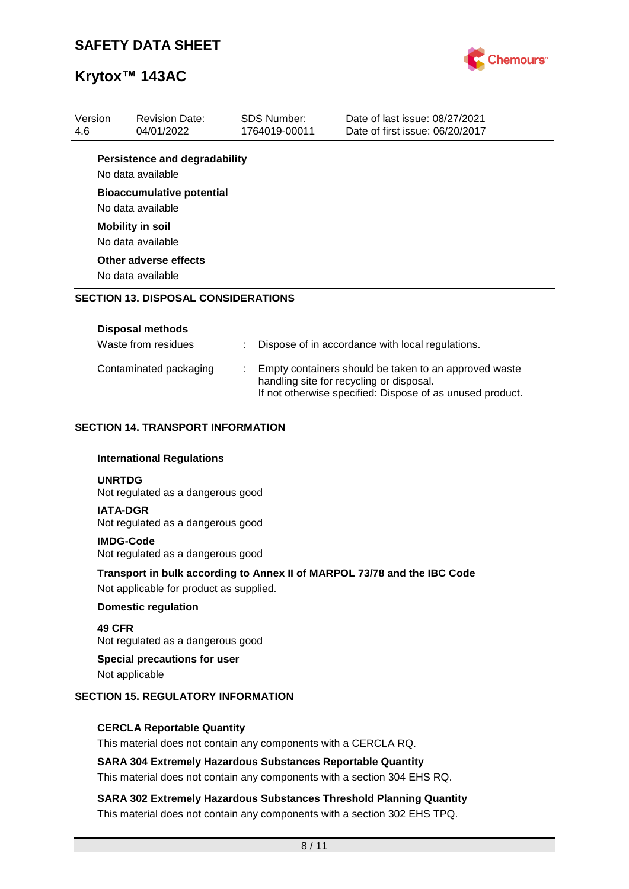

| Version<br>4.6  | <b>Revision Date:</b><br>04/01/2022                                   | <b>SDS Number:</b><br>1764019-00011 | Date of last issue: 08/27/2021<br>Date of first issue: 06/20/2017                                                                                              |
|-----------------|-----------------------------------------------------------------------|-------------------------------------|----------------------------------------------------------------------------------------------------------------------------------------------------------------|
|                 | <b>Persistence and degradability</b><br>No data available             |                                     |                                                                                                                                                                |
|                 | <b>Bioaccumulative potential</b>                                      |                                     |                                                                                                                                                                |
|                 | No data available                                                     |                                     |                                                                                                                                                                |
|                 | <b>Mobility in soil</b>                                               |                                     |                                                                                                                                                                |
|                 | No data available                                                     |                                     |                                                                                                                                                                |
|                 | Other adverse effects                                                 |                                     |                                                                                                                                                                |
|                 | No data available                                                     |                                     |                                                                                                                                                                |
|                 | <b>SECTION 13. DISPOSAL CONSIDERATIONS</b>                            |                                     |                                                                                                                                                                |
|                 | <b>Disposal methods</b>                                               |                                     |                                                                                                                                                                |
|                 | Waste from residues                                                   |                                     | Dispose of in accordance with local regulations.                                                                                                               |
|                 |                                                                       |                                     |                                                                                                                                                                |
|                 | Contaminated packaging                                                |                                     | Empty containers should be taken to an approved waste<br>handling site for recycling or disposal.<br>If not otherwise specified: Dispose of as unused product. |
|                 | <b>SECTION 14. TRANSPORT INFORMATION</b>                              |                                     |                                                                                                                                                                |
| <b>UNRTDG</b>   | <b>International Regulations</b><br>Not regulated as a dangerous good |                                     |                                                                                                                                                                |
| <b>IATA-DGR</b> | Not regulated as a dangerous good                                     |                                     |                                                                                                                                                                |
|                 | <b>IMDG-Code</b><br>Not regulated as a dangerous good                 |                                     |                                                                                                                                                                |
|                 | Not applicable for product as supplied.                               |                                     | Transport in bulk according to Annex II of MARPOL 73/78 and the IBC Code                                                                                       |
|                 | <b>Domestic regulation</b>                                            |                                     |                                                                                                                                                                |
| 49 CFR          | Not regulated as a dangerous good                                     |                                     |                                                                                                                                                                |

This material does not contain any components with a CERCLA RQ.

**SARA 304 Extremely Hazardous Substances Reportable Quantity**

This material does not contain any components with a section 304 EHS RQ.

**SARA 302 Extremely Hazardous Substances Threshold Planning Quantity** This material does not contain any components with a section 302 EHS TPQ.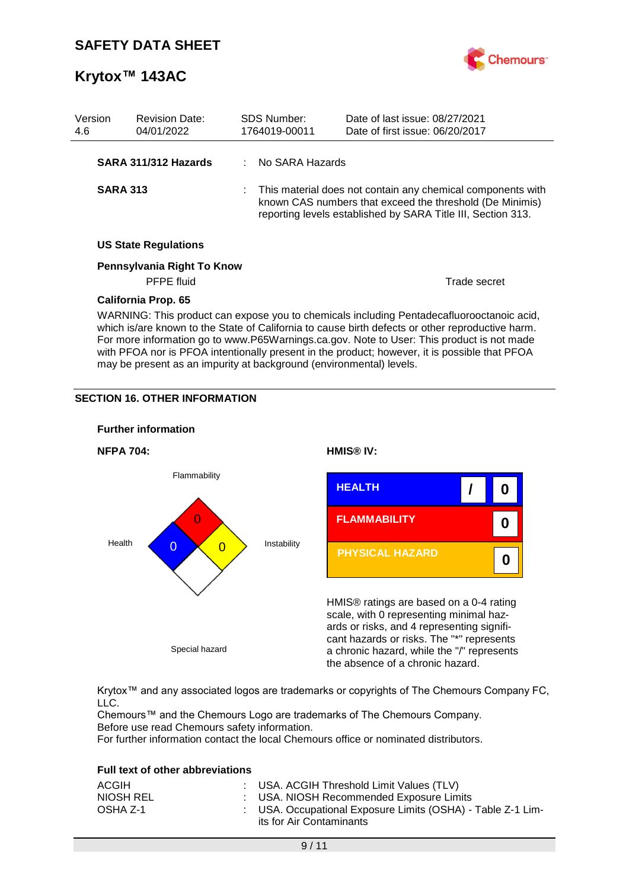

| Version<br>4.6                                                                                                                                                                                                                                                                                                                                                                              | <b>Revision Date:</b><br>04/01/2022 |  | <b>SDS Number:</b><br>1764019-00011 | Date of last issue: 08/27/2021<br>Date of first issue: 06/20/2017                                                                                                                       |
|---------------------------------------------------------------------------------------------------------------------------------------------------------------------------------------------------------------------------------------------------------------------------------------------------------------------------------------------------------------------------------------------|-------------------------------------|--|-------------------------------------|-----------------------------------------------------------------------------------------------------------------------------------------------------------------------------------------|
|                                                                                                                                                                                                                                                                                                                                                                                             | SARA 311/312 Hazards                |  | : No SARA Hazards                   |                                                                                                                                                                                         |
| <b>SARA 313</b>                                                                                                                                                                                                                                                                                                                                                                             |                                     |  |                                     | This material does not contain any chemical components with<br>known CAS numbers that exceed the threshold (De Minimis)<br>reporting levels established by SARA Title III, Section 313. |
|                                                                                                                                                                                                                                                                                                                                                                                             | <b>US State Regulations</b>         |  |                                     |                                                                                                                                                                                         |
|                                                                                                                                                                                                                                                                                                                                                                                             | Pennsylvania Right To Know          |  |                                     |                                                                                                                                                                                         |
|                                                                                                                                                                                                                                                                                                                                                                                             | <b>PFPE</b> fluid                   |  |                                     | Trade secret                                                                                                                                                                            |
|                                                                                                                                                                                                                                                                                                                                                                                             | California Prop. 65                 |  |                                     |                                                                                                                                                                                         |
| WARNING: This product can expose you to chemicals including Pentadecafluorooctanoic acid,<br>which is/are known to the State of California to cause birth defects or other reproductive harm.<br>For more information go to www.P65Warnings.ca.gov. Note to User: This product is not made<br>with PFOA nor is PFOA intentionally present in the product; however, it is possible that PFOA |                                     |  |                                     |                                                                                                                                                                                         |

may be present as an impurity at background (environmental) levels.

#### **SECTION 16. OTHER INFORMATION**



Krytox™ and any associated logos are trademarks or copyrights of The Chemours Company FC, LLC.

Chemours™ and the Chemours Logo are trademarks of The Chemours Company. Before use read Chemours safety information.

For further information contact the local Chemours office or nominated distributors.

#### **Full text of other abbreviations**

| ACGIH     | : USA. ACGIH Threshold Limit Values (TLV)                                               |
|-----------|-----------------------------------------------------------------------------------------|
| NIOSH REL | : USA. NIOSH Recommended Exposure Limits                                                |
| OSHA Z-1  | : USA. Occupational Exposure Limits (OSHA) - Table Z-1 Lim-<br>its for Air Contaminants |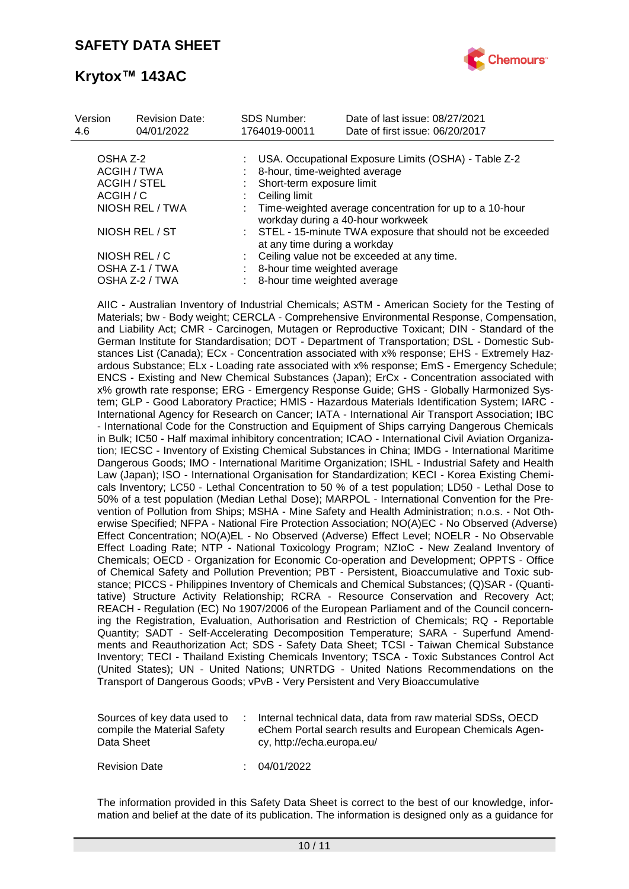

| Version<br>4.6 | <b>Revision Date:</b><br>04/01/2022 | <b>SDS Number:</b><br>1764019-00011 | Date of last issue: 08/27/2021<br>Date of first issue: 06/20/2017                            |
|----------------|-------------------------------------|-------------------------------------|----------------------------------------------------------------------------------------------|
| OSHA Z-2       |                                     |                                     | USA. Occupational Exposure Limits (OSHA) - Table Z-2                                         |
| ACGIH / TWA    |                                     |                                     | 8-hour, time-weighted average                                                                |
|                | <b>ACGIH / STEL</b>                 | Short-term exposure limit           |                                                                                              |
| ACGIH / C      |                                     | Ceiling limit                       |                                                                                              |
|                | NIOSH REL / TWA                     |                                     | Time-weighted average concentration for up to a 10-hour<br>workday during a 40-hour workweek |
|                | NIOSH REL / ST                      |                                     | : STEL - 15-minute TWA exposure that should not be exceeded<br>at any time during a workday  |
|                | NIOSH REL / C                       |                                     | Ceiling value not be exceeded at any time.                                                   |
|                | OSHA Z-1 / TWA                      |                                     | 8-hour time weighted average                                                                 |
|                | OSHA Z-2 / TWA                      |                                     | 8-hour time weighted average                                                                 |

AIIC - Australian Inventory of Industrial Chemicals; ASTM - American Society for the Testing of Materials; bw - Body weight; CERCLA - Comprehensive Environmental Response, Compensation, and Liability Act; CMR - Carcinogen, Mutagen or Reproductive Toxicant; DIN - Standard of the German Institute for Standardisation; DOT - Department of Transportation; DSL - Domestic Substances List (Canada); ECx - Concentration associated with x% response; EHS - Extremely Hazardous Substance; ELx - Loading rate associated with x% response; EmS - Emergency Schedule; ENCS - Existing and New Chemical Substances (Japan); ErCx - Concentration associated with x% growth rate response; ERG - Emergency Response Guide; GHS - Globally Harmonized System; GLP - Good Laboratory Practice; HMIS - Hazardous Materials Identification System; IARC - International Agency for Research on Cancer; IATA - International Air Transport Association; IBC - International Code for the Construction and Equipment of Ships carrying Dangerous Chemicals in Bulk; IC50 - Half maximal inhibitory concentration; ICAO - International Civil Aviation Organization; IECSC - Inventory of Existing Chemical Substances in China; IMDG - International Maritime Dangerous Goods; IMO - International Maritime Organization; ISHL - Industrial Safety and Health Law (Japan); ISO - International Organisation for Standardization; KECI - Korea Existing Chemicals Inventory; LC50 - Lethal Concentration to 50 % of a test population; LD50 - Lethal Dose to 50% of a test population (Median Lethal Dose); MARPOL - International Convention for the Prevention of Pollution from Ships; MSHA - Mine Safety and Health Administration; n.o.s. - Not Otherwise Specified; NFPA - National Fire Protection Association; NO(A)EC - No Observed (Adverse) Effect Concentration; NO(A)EL - No Observed (Adverse) Effect Level; NOELR - No Observable Effect Loading Rate; NTP - National Toxicology Program; NZIoC - New Zealand Inventory of Chemicals; OECD - Organization for Economic Co-operation and Development; OPPTS - Office of Chemical Safety and Pollution Prevention; PBT - Persistent, Bioaccumulative and Toxic substance; PICCS - Philippines Inventory of Chemicals and Chemical Substances; (Q)SAR - (Quantitative) Structure Activity Relationship; RCRA - Resource Conservation and Recovery Act; REACH - Regulation (EC) No 1907/2006 of the European Parliament and of the Council concerning the Registration, Evaluation, Authorisation and Restriction of Chemicals; RQ - Reportable Quantity; SADT - Self-Accelerating Decomposition Temperature; SARA - Superfund Amendments and Reauthorization Act; SDS - Safety Data Sheet; TCSI - Taiwan Chemical Substance Inventory; TECI - Thailand Existing Chemicals Inventory; TSCA - Toxic Substances Control Act (United States); UN - United Nations; UNRTDG - United Nations Recommendations on the Transport of Dangerous Goods; vPvB - Very Persistent and Very Bioaccumulative

| compile the Material Safety<br>Data Sheet<br>cy, http://echa.europa.eu/ | Sources of key data used to |  | Internal technical data, data from raw material SDSs, OECD<br>eChem Portal search results and European Chemicals Agen- |
|-------------------------------------------------------------------------|-----------------------------|--|------------------------------------------------------------------------------------------------------------------------|
|-------------------------------------------------------------------------|-----------------------------|--|------------------------------------------------------------------------------------------------------------------------|

Revision Date : 04/01/2022

The information provided in this Safety Data Sheet is correct to the best of our knowledge, information and belief at the date of its publication. The information is designed only as a guidance for